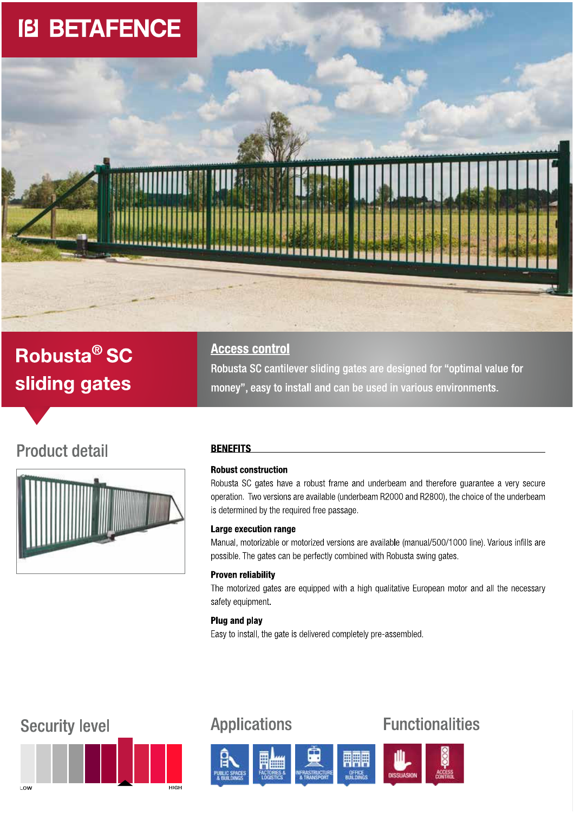

# Robusta<sup>®</sup> SC sliding gates

## **Access control**

Robusta SC cantilever sliding gates are designed for "optimal value for money", easy to install and can be used in various environments.

## **Product detail**



## **BENEFITS**

## **Robust construction**

Robusta SC gates have a robust frame and underbeam and therefore guarantee a very secure operation. Two versions are available (underbeam R2000 and R2800), the choice of the underbeam is determined by the required free passage.

## Large execution range

Manual, motorizable or motorized versions are available (manual/500/1000 line). Various infills are possible. The gates can be perfectly combined with Robusta swing gates.

### **Proven reliability**

The motorized gates are equipped with a high qualitative European motor and all the necessary safety equipment.

## Plug and play

Easy to install, the gate is delivered completely pre-assembled.

## **Security level**



## **Applications**



## **Functionalities**

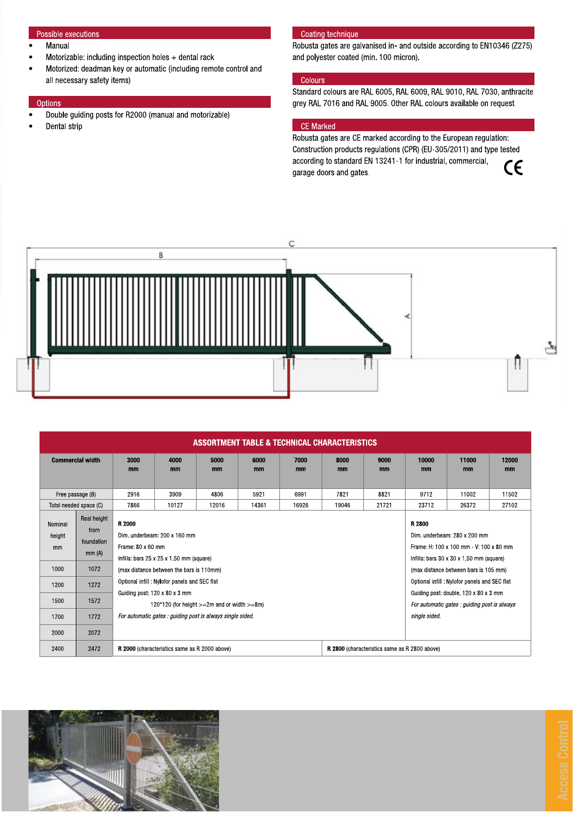## Possible executions

- Manual  $\bullet$
- Motorizable: including inspection holes  $+$  dental rack
- Motorized: deadman key or automatic (including remote control and all necessary safety items)

#### Options

- Double guiding posts for R2000 (manual and motorizable)  $\bullet$
- Dental strip

#### Coating technique

Robusta gates are galvanised in- and outside according to EN10346 (Z275) and polyester coated (min. 100 micron).

## Colours

Standard colours are RAL 6005, RAL 6009, RAL 9010, RAL 7030, anthracite grey RAL 7016 and RAL 9005. Other RAL colours available on request

### CE Marked

Robusta gates are CE marked according to the European regulation: Construction products regulations (CPR) (EU-305/2011) and type tested according to standard EN 13241-1 for industrial, commercial,  $C\epsilon$ garage doors and gates.



| ASSORTMENT TABLE & TECHNICAL CHARACTERISTICS |                                            |                                                                                                                                                                                                                                                                         |            |            |            |            |            |            |             |             |             |
|----------------------------------------------|--------------------------------------------|-------------------------------------------------------------------------------------------------------------------------------------------------------------------------------------------------------------------------------------------------------------------------|------------|------------|------------|------------|------------|------------|-------------|-------------|-------------|
| <b>Commercial width</b>                      |                                            | 3000<br>mm                                                                                                                                                                                                                                                              | 4000<br>mm | 5000<br>mm | 6000<br>mm | 7000<br>mm | 8000<br>mm | 9000<br>mm | 10000<br>mm | 11000<br>mm | 12000<br>mm |
| Free passage (B)                             |                                            | 2916                                                                                                                                                                                                                                                                    | 3909       | 4806       | 5921       | 6991       | 7821       | 8821       | 9712        | 11002       | 11502       |
| Total needed space (C)                       |                                            | 7866                                                                                                                                                                                                                                                                    | 10127      | 12016      | 14361      | 16926      | 19046      | 21721      | 23712       | 26372       | 27102       |
| Nominal<br>height<br>mm                      | Real height<br>from<br>foundation<br>mm(A) | R 2000<br>R 2800<br>Dim. underbeam: 200 x 160 mm<br>Dim. underbeam: 280 x 200 mm<br>Frame: $80 \times 60$ mm<br>Frame: H: 100 x 100 mm - V: 100 x 80 mm<br>Infills: bars $25 \times 25 \times 1,50$ mm (square)<br>Infills: bars $30 \times 30 \times 1,50$ mm (square) |            |            |            |            |            |            |             |             |             |
| 1000                                         | 1072                                       | (max distance between the bars is 110mm)<br>(max distance between bars is 105 mm)                                                                                                                                                                                       |            |            |            |            |            |            |             |             |             |
| 1200                                         | 1272                                       | Optional infill: Nylofor panels and SEC flat<br>Optional infill: Nylofor panels and SEC flat                                                                                                                                                                            |            |            |            |            |            |            |             |             |             |
| 1500                                         | 1572                                       | Guiding post: 120 x 80 x 3 mm<br>Guiding post: double, 120 x 80 x 3 mm<br>120*120 (for height $>=2m$ and or width $>=8m$ )<br>For automatic gates : guiding post is always                                                                                              |            |            |            |            |            |            |             |             |             |
| 1700                                         | 1772                                       | For automatic gates : guiding post is always single sided.<br>single sided.                                                                                                                                                                                             |            |            |            |            |            |            |             |             |             |
| 2000                                         | 2072                                       |                                                                                                                                                                                                                                                                         |            |            |            |            |            |            |             |             |             |
| 2400                                         | 2472                                       | R 2000 (characteristics same as R 2000 above)<br>R 2800 (characteristics same as R 2800 above)                                                                                                                                                                          |            |            |            |            |            |            |             |             |             |

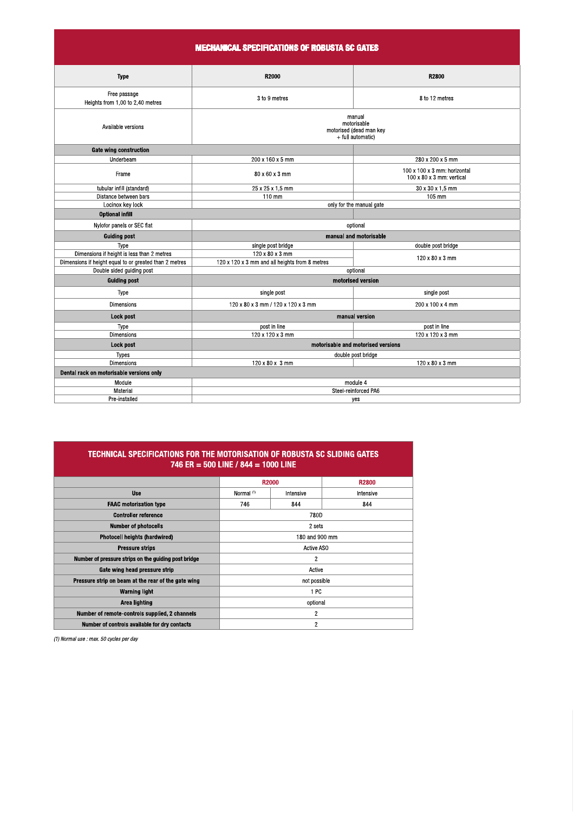| <b>MECHANICAL SPECIFICATIONS OF ROBUSTA SC GATES</b>   |                                                                       |                                                                       |  |  |  |  |  |  |
|--------------------------------------------------------|-----------------------------------------------------------------------|-----------------------------------------------------------------------|--|--|--|--|--|--|
| <b>Type</b>                                            | R2000                                                                 | R2800                                                                 |  |  |  |  |  |  |
| Free passage<br>Heights from 1,00 to 2,40 metres       | 3 to 9 metres                                                         | 8 to 12 metres                                                        |  |  |  |  |  |  |
| Available versions                                     | manual<br>motorisable<br>motorised (dead man key<br>+ full automatic) |                                                                       |  |  |  |  |  |  |
| <b>Gate wing construction</b>                          |                                                                       |                                                                       |  |  |  |  |  |  |
| Underbeam                                              | 200 x 160 x 5 mm                                                      | 280 x 200 x 5 mm                                                      |  |  |  |  |  |  |
| Frame                                                  | 80 x 60 x 3 mm                                                        | 100 x 100 x 3 mm: horizontal<br>$100 \times 80 \times 3$ mm: vertical |  |  |  |  |  |  |
| tubular infill (standard)                              | 25 x 25 x 1,5 mm                                                      | 30 x 30 x 1.5 mm                                                      |  |  |  |  |  |  |
| Distance between bars                                  | 110 mm                                                                | 105 mm                                                                |  |  |  |  |  |  |
| Locinox key lock                                       | only for the manual gate                                              |                                                                       |  |  |  |  |  |  |
| <b>Optional infill</b>                                 |                                                                       |                                                                       |  |  |  |  |  |  |
| Nylofor panels or SEC flat                             | optional                                                              |                                                                       |  |  |  |  |  |  |
| <b>Guiding post</b>                                    | manual and motorisable                                                |                                                                       |  |  |  |  |  |  |
| Type                                                   | single post bridge                                                    | double post bridge                                                    |  |  |  |  |  |  |
| Dimensions if height is less than 2 metres             | 120 x 80 x 3 mm                                                       | 120 x 80 x 3 mm                                                       |  |  |  |  |  |  |
| Dimensions if height equal to or greated than 2 metres | 120 x 120 x 3 mm and all heights from 8 metres                        |                                                                       |  |  |  |  |  |  |
| Double sided guiding post                              | optional                                                              |                                                                       |  |  |  |  |  |  |
| <b>Guiding post</b>                                    | motorised version                                                     |                                                                       |  |  |  |  |  |  |
| Type                                                   | single post                                                           | single post                                                           |  |  |  |  |  |  |
| <b>Dimensions</b>                                      | 120 x 80 x 3 mm / 120 x 120 x 3 mm                                    | 200 x 100 x 4 mm                                                      |  |  |  |  |  |  |
| Lock post                                              | manual version                                                        |                                                                       |  |  |  |  |  |  |
| Type                                                   | post in line                                                          | post in line                                                          |  |  |  |  |  |  |
| <b>Dimensions</b>                                      | 120 x 120 x 3 mm                                                      | 120 x 120 x 3 mm                                                      |  |  |  |  |  |  |
| Lock post                                              | motorisable and motorised versions                                    |                                                                       |  |  |  |  |  |  |
| <b>Types</b>                                           | double post bridge                                                    |                                                                       |  |  |  |  |  |  |
| <b>Dimensions</b>                                      | 120 x 80 x 3 mm                                                       | 120 x 80 x 3 mm                                                       |  |  |  |  |  |  |
| Dental rack on motorisable versions only               |                                                                       |                                                                       |  |  |  |  |  |  |
| Module                                                 | module 4                                                              |                                                                       |  |  |  |  |  |  |
| Material                                               | Steel-reinforced PA6                                                  |                                                                       |  |  |  |  |  |  |
| Pre-installed                                          | yes                                                                   |                                                                       |  |  |  |  |  |  |

| TECHNICAL SPECIFICATIONS FOR THE MOTORISATION OF ROBUSTA SC SLIDING GATES<br>746 ER = 500 LINE / 844 = 1000 LINE |                       |           |              |  |  |  |  |
|------------------------------------------------------------------------------------------------------------------|-----------------------|-----------|--------------|--|--|--|--|
|                                                                                                                  | R2000                 |           | <b>R2800</b> |  |  |  |  |
| <b>Use</b>                                                                                                       | Normal <sup>(1)</sup> | Intensive | Intensive    |  |  |  |  |
| <b>FAAC</b> motorisation type                                                                                    | 746                   | 844       | 844          |  |  |  |  |
| <b>Controller reference</b>                                                                                      | 780D                  |           |              |  |  |  |  |
| <b>Number of photocells</b>                                                                                      | 2 sets                |           |              |  |  |  |  |
| Photocell heights (hardwired)                                                                                    | 180 and 900 mm        |           |              |  |  |  |  |
| <b>Pressure strips</b>                                                                                           | <b>Active ASO</b>     |           |              |  |  |  |  |
| Number of pressure strips on the guiding post bridge                                                             | $\overline{2}$        |           |              |  |  |  |  |
| Gate wing head pressure strip                                                                                    | Active                |           |              |  |  |  |  |
| Pressure strip on beam at the rear of the gate wing                                                              | not possible          |           |              |  |  |  |  |
| <b>Warning light</b>                                                                                             | 1 PC                  |           |              |  |  |  |  |
| Area lighting                                                                                                    | optional              |           |              |  |  |  |  |
| Number of remote-controls supplied, 2 channels                                                                   | $\overline{c}$        |           |              |  |  |  |  |
| Number of controls available for dry contacts                                                                    | $\overline{2}$        |           |              |  |  |  |  |

(1) Normal use : max. 50 cycles per day